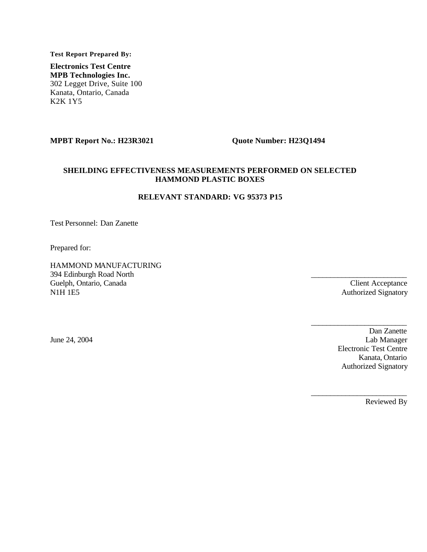**Test Report Prepared By:**

**Electronics Test Centre MPB Technologies Inc.** 302 Legget Drive, Suite 100 Kanata, Ontario, Canada K2K 1Y5

#### **MPBT Report No.: H23R3021 Quote Number: H23Q1494**

#### **SHEILDING EFFECTIVENESS MEASUREMENTS PERFORMED ON SELECTED HAMMOND PLASTIC BOXES**

#### **RELEVANT STANDARD: VG 95373 P15**

Test Personnel: Dan Zanette

Prepared for:

HAMMOND MANUFACTURING 394 Edinburgh Road North Guelph, Ontario, Canada N1H 1E5

Client Acceptance Authorized Signatory

 $\_$ 

 $\_$ 

 $\_$ 

June 24, 2004

Dan Zanette Lab Manager Electronic Test Centre Kanata, Ontario Authorized Signatory

Reviewed By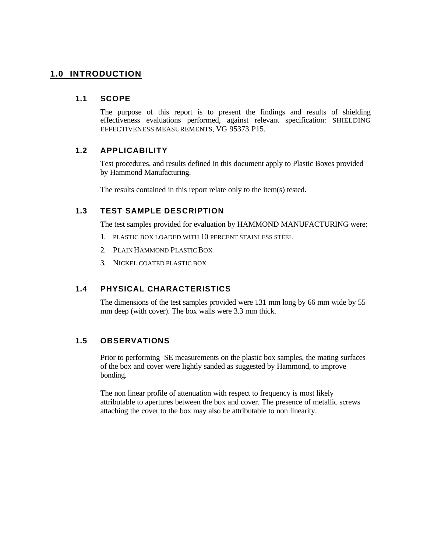# **1.0 INTRODUCTION**

#### **1.1 SCOPE**

The purpose of this report is to present the findings and results of shielding effectiveness evaluations performed, against relevant specification: SHIELDING EFFECTIVENESS MEASUREMENTS, VG 95373 P15.

## **1.2 APPLICABILITY**

Test procedures, and results defined in this document apply to Plastic Boxes provided by Hammond Manufacturing.

The results contained in this report relate only to the item(s) tested.

## **1.3 TEST SAMPLE DESCRIPTION**

The test samples provided for evaluation by HAMMOND MANUFACTURING were:

- 1. PLASTIC BOX LOADED WITH 10 PERCENT STAINLESS STEEL
- 2. PLAIN HAMMOND PLASTIC BOX
- 3. NICKEL COATED PLASTIC BOX

## **1.4 PHYSICAL CHARACTERISTICS**

The dimensions of the test samples provided were 131 mm long by 66 mm wide by 55 mm deep (with cover). The box walls were 3.3 mm thick.

## **1.5 OBSERVATIONS**

Prior to performing SE measurements on the plastic box samples, the mating surfaces of the box and cover were lightly sanded as suggested by Hammond, to improve bonding.

The non linear profile of attenuation with respect to frequency is most likely attributable to apertures between the box and cover. The presence of metallic screws attaching the cover to the box may also be attributable to non linearity.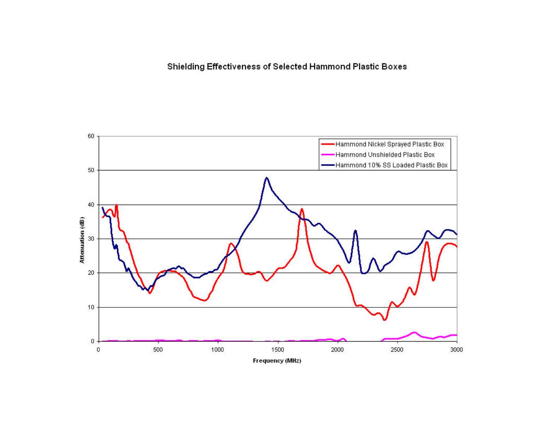Shielding Effectiveness of Selected Hammond Plastic Boxes